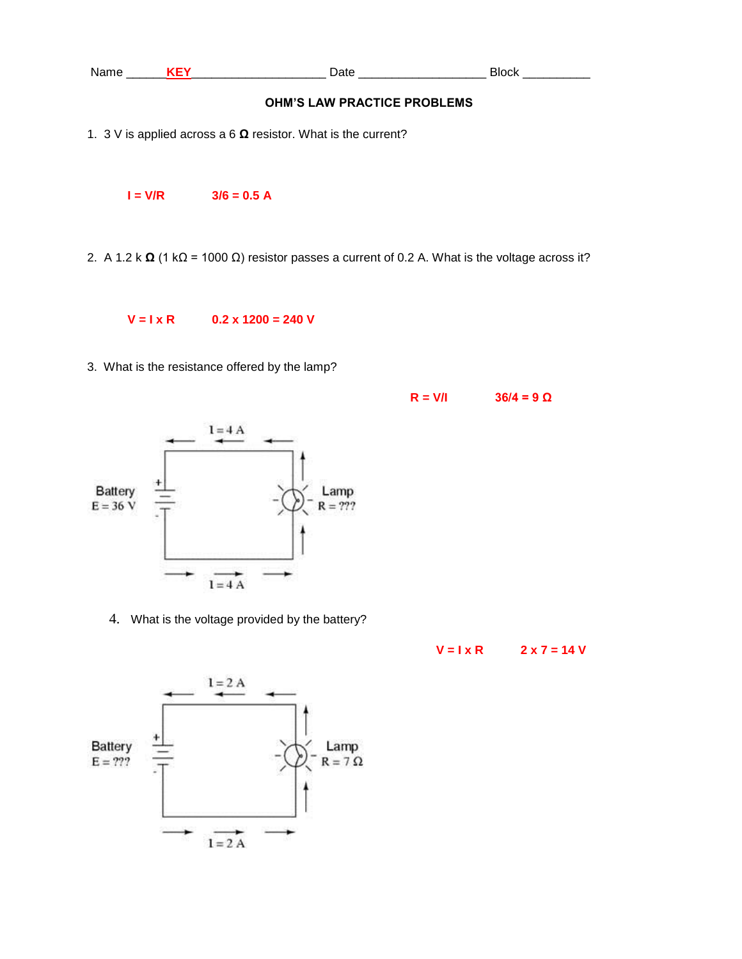

3. What is the resistance offered by the lamp?



4. What is the voltage provided by the battery?



 $R = V/I$  36/4 = 9  $\Omega$